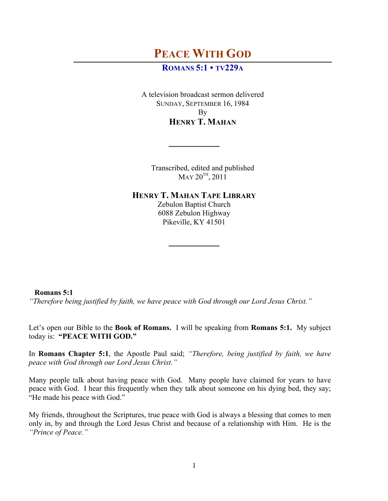## **ROMANS 5:1 • TV229A**

A television broadcast sermon delivered SUNDAY, SEPTEMBER 16, 1984 By **HENRY T. MAHAN**

Transcribed, edited and published MAY 20<sup>TH</sup>, 2011

**HENRY T. MAHAN TAPE LIBRARY**

**\_\_\_\_\_\_\_\_\_\_**

Zebulon Baptist Church 6088 Zebulon Highway Pikeville, KY 41501

**\_\_\_\_\_\_\_\_\_\_**

**Romans 5:1**

*"Therefore being justified by faith, we have peace with God through our Lord Jesus Christ."*

Let's open our Bible to the **Book of Romans.** I will be speaking from **Romans 5:1.** My subject today is: **"PEACE WITH GOD."**

In **Romans Chapter 5:1**, the Apostle Paul said; *"Therefore, being justified by faith, we have peace with God through our Lord Jesus Christ."*

Many people talk about having peace with God. Many people have claimed for years to have peace with God. I hear this frequently when they talk about someone on his dying bed, they say; "He made his peace with God."

My friends, throughout the Scriptures, true peace with God is always a blessing that comes to men only in, by and through the Lord Jesus Christ and because of a relationship with Him. He is the *"Prince of Peace."*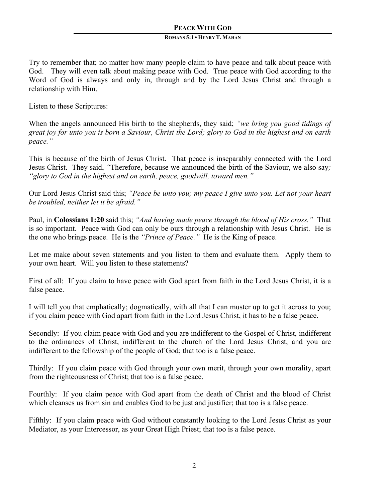#### **ROMANS 5:1 • HENRY T. MAHAN**

Try to remember that; no matter how many people claim to have peace and talk about peace with God. They will even talk about making peace with God. True peace with God according to the Word of God is always and only in, through and by the Lord Jesus Christ and through a relationship with Him.

Listen to these Scriptures:

When the angels announced His birth to the shepherds, they said; *"we bring you good tidings of great joy for unto you is born a Saviour, Christ the Lord; glory to God in the highest and on earth peace."*

This is because of the birth of Jesus Christ. That peace is inseparably connected with the Lord Jesus Christ. They said, *"*Therefore, because we announced the birth of the Saviour, we also say*; "glory to God in the highest and on earth, peace, goodwill, toward men."*

Our Lord Jesus Christ said this; *"Peace be unto you; my peace I give unto you. Let not your heart be troubled, neither let it be afraid."*

Paul, in **Colossians 1:20** said this; *"And having made peace through the blood of His cross."* That is so important. Peace with God can only be ours through a relationship with Jesus Christ. He is the one who brings peace. He is the *"Prince of Peace."* He is the King of peace.

Let me make about seven statements and you listen to them and evaluate them. Apply them to your own heart. Will you listen to these statements?

First of all: If you claim to have peace with God apart from faith in the Lord Jesus Christ, it is a false peace.

I will tell you that emphatically; dogmatically, with all that I can muster up to get it across to you; if you claim peace with God apart from faith in the Lord Jesus Christ, it has to be a false peace.

Secondly: If you claim peace with God and you are indifferent to the Gospel of Christ, indifferent to the ordinances of Christ, indifferent to the church of the Lord Jesus Christ, and you are indifferent to the fellowship of the people of God; that too is a false peace.

Thirdly: If you claim peace with God through your own merit, through your own morality, apart from the righteousness of Christ; that too is a false peace.

Fourthly: If you claim peace with God apart from the death of Christ and the blood of Christ which cleanses us from sin and enables God to be just and justifier; that too is a false peace.

Fifthly: If you claim peace with God without constantly looking to the Lord Jesus Christ as your Mediator, as your Intercessor, as your Great High Priest; that too is a false peace.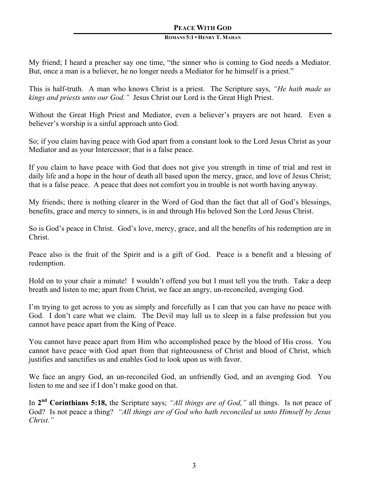## **ROMANS 5:1 • HENRY T. MAHAN**

My friend; I heard a preacher say one time, "the sinner who is coming to God needs a Mediator. But, once a man is a believer, he no longer needs a Mediator for he himself is a priest."

This is half-truth. A man who knows Christ is a priest. The Scripture says, *"He hath made us kings and priests unto our God."* Jesus Christ our Lord is the Great High Priest.

Without the Great High Priest and Mediator, even a believer's prayers are not heard. Even a believer's worship is a sinful approach unto God.

So; if you claim having peace with God apart from a constant look to the Lord Jesus Christ as your Mediator and as your Intercessor; that is a false peace.

If you claim to have peace with God that does not give you strength in time of trial and rest in daily life and a hope in the hour of death all based upon the mercy, grace, and love of Jesus Christ; that is a false peace. A peace that does not comfort you in trouble is not worth having anyway.

My friends; there is nothing clearer in the Word of God than the fact that all of God's blessings, benefits, grace and mercy to sinners, is in and through His beloved Son the Lord Jesus Christ.

So is God's peace in Christ. God's love, mercy, grace, and all the benefits of his redemption are in Christ.

Peace also is the fruit of the Spirit and is a gift of God. Peace is a benefit and a blessing of redemption.

Hold on to your chair a minute! I wouldn't offend you but I must tell you the truth. Take a deep breath and listen to me; apart from Christ, we face an angry, un-reconciled, avenging God.

I'm trying to get across to you as simply and forcefully as I can that you can have no peace with God. I don't care what we claim. The Devil may lull us to sleep in a false profession but you cannot have peace apart from the King of Peace.

You cannot have peace apart from Him who accomplished peace by the blood of His cross. You cannot have peace with God apart from that righteousness of Christ and blood of Christ, which justifies and sanctifies us and enables God to look upon us with favor.

We face an angry God, an un-reconciled God, an unfriendly God, and an avenging God. You listen to me and see if I don't make good on that.

In **2nd Corinthians 5:18,** the Scripture says; *"All things are of God,"* all things. Is not peace of God? Is not peace a thing? *"All things are of God who hath reconciled us unto Himself by Jesus Christ."*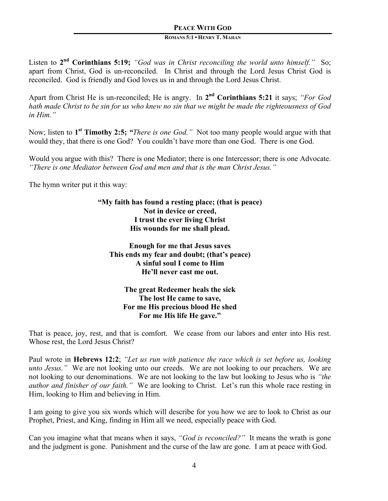## **ROMANS 5:1 • HENRY T. MAHAN**

Listen to **2nd Corinthians 5:19;** *"God was in Christ reconciling the world unto himself."* So; apart from Christ, God is un-reconciled. In Christ and through the Lord Jesus Christ God is reconciled. God is friendly and God loves us in and through the Lord Jesus Christ.

Apart from Christ He is un-reconciled; He is angry. In **2nd Corinthians 5:21** it says; *"For God hath made Christ to be sin for us who knew no sin that we might be made the righteousness of God in Him."*

Now; listen to **1st Timothy 2:5;** *"There is one God."* Not too many people would argue with that would they, that there is one God? You couldn't have more than one God. There is one God.

Would you argue with this? There is one Mediator; there is one Intercessor; there is one Advocate. *"There is one Mediator between God and men and that is the man Christ Jesus."*

The hymn writer put it this way:

**"My faith has found a resting place; (that is peace) Not in device or creed, I trust the ever living Christ His wounds for me shall plead.**

**Enough for me that Jesus saves This ends my fear and doubt; (that's peace) A sinful soul I come to Him He'll never cast me out.**

**The great Redeemer heals the sick The lost He came to save, For me His precious blood He shed For me His life He gave."**

That is peace, joy, rest, and that is comfort. We cease from our labors and enter into His rest. Whose rest, the Lord Jesus Christ?

Paul wrote in **Hebrews 12:2**; *"Let us run with patience the race which is set before us, looking unto Jesus."* We are not looking unto our creeds. We are not looking to our preachers. We are not looking to our denominations. We are not looking to the law but looking to Jesus who is *"the author and finisher of our faith."* We are looking to Christ. Let's run this whole race resting in Him, looking to Him and believing in Him.

I am going to give you six words which will describe for you how we are to look to Christ as our Prophet, Priest, and King, finding in Him all we need, especially peace with God.

Can you imagine what that means when it says, *"God is reconciled?"* It means the wrath is gone and the judgment is gone. Punishment and the curse of the law are gone. I am at peace with God.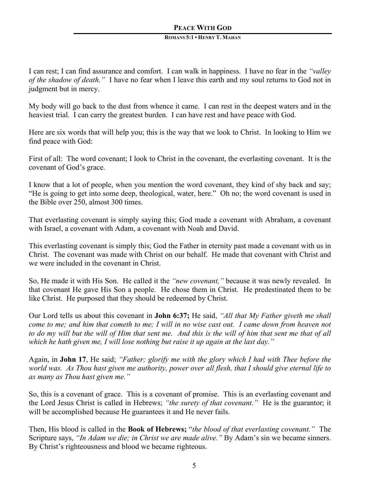#### **ROMANS 5:1 • HENRY T. MAHAN**

I can rest; I can find assurance and comfort. I can walk in happiness. I have no fear in the *"valley of the shadow of death."* I have no fear when I leave this earth and my soul returns to God not in judgment but in mercy.

My body will go back to the dust from whence it came. I can rest in the deepest waters and in the heaviest trial. I can carry the greatest burden. I can have rest and have peace with God.

Here are six words that will help you; this is the way that we look to Christ. In looking to Him we find peace with God:

First of all: The word covenant; I look to Christ in the covenant, the everlasting covenant. It is the covenant of God's grace.

I know that a lot of people, when you mention the word covenant, they kind of shy back and say; "He is going to get into some deep, theological, water, here." Oh no; the word covenant is used in the Bible over 250, almost 300 times.

That everlasting covenant is simply saying this; God made a covenant with Abraham, a covenant with Israel, a covenant with Adam, a covenant with Noah and David.

This everlasting covenant is simply this; God the Father in eternity past made a covenant with us in Christ. The covenant was made with Christ on our behalf. He made that covenant with Christ and we were included in the covenant in Christ.

So, He made it with His Son. He called it the *"new covenant,"* because it was newly revealed. In that covenant He gave His Son a people. He chose them in Christ. He predestinated them to be like Christ. He purposed that they should be redeemed by Christ.

Our Lord tells us about this covenant in **John 6:37;** He said, *"All that My Father giveth me shall come to me; and him that cometh to me; I will in no wise cast out. I came down from heaven not to do my will but the will of Him that sent me. And this is the will of him that sent me that of all which he hath given me, I will lose nothing but raise it up again at the last day."*

Again, in **John 17**, He said; *"Father; glorify me with the glory which I had with Thee before the world was. As Thou hast given me authority, power over all flesh, that I should give eternal life to as many as Thou hast given me."*

So, this is a covenant of grace. This is a covenant of promise. This is an everlasting covenant and the Lord Jesus Christ is called in Hebrews; *"the surety of that covenant."* He is the guarantor; it will be accomplished because He guarantees it and He never fails.

Then, His blood is called in the **Book of Hebrews;** "*the blood of that everlasting covenant."* The Scripture says, "In Adam we die; in Christ we are made alive." By Adam's sin we became sinners. By Christ's righteousness and blood we became righteous.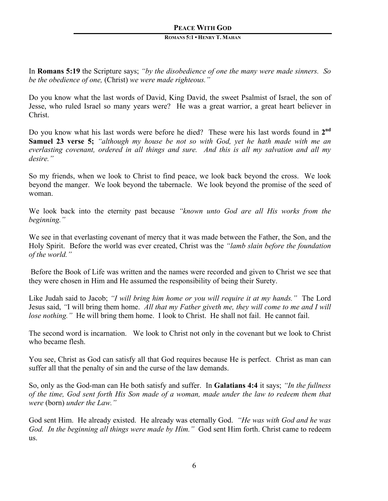#### **ROMANS 5:1 • HENRY T. MAHAN**

In **Romans 5:19** the Scripture says; *"by the disobedience of one the many were made sinners. So be the obedience of one,* (Christ) *we were made righteous."*

Do you know what the last words of David, King David, the sweet Psalmist of Israel, the son of Jesse, who ruled Israel so many years were? He was a great warrior, a great heart believer in Christ.

Do you know what his last words were before he died? These were his last words found in **2nd Samuel 23 verse 5;** *"although my house be not so with God, yet he hath made with me an everlasting covenant, ordered in all things and sure. And this is all my salvation and all my desire."* 

So my friends, when we look to Christ to find peace, we look back beyond the cross. We look beyond the manger. We look beyond the tabernacle. We look beyond the promise of the seed of woman.

We look back into the eternity past because *"known unto God are all His works from the beginning."*

We see in that everlasting covenant of mercy that it was made between the Father, the Son, and the Holy Spirit. Before the world was ever created, Christ was the *"lamb slain before the foundation of the world."* 

Before the Book of Life was written and the names were recorded and given to Christ we see that they were chosen in Him and He assumed the responsibility of being their Surety.

Like Judah said to Jacob; *"I will bring him home or you will require it at my hands."* The Lord Jesus said, *"*I will bring them home. *All that my Father giveth me, they will come to me and I will lose nothing."* He will bring them home. I look to Christ. He shall not fail. He cannot fail.

The second word is incarnation. We look to Christ not only in the covenant but we look to Christ who became flesh.

You see, Christ as God can satisfy all that God requires because He is perfect. Christ as man can suffer all that the penalty of sin and the curse of the law demands.

So, only as the God-man can He both satisfy and suffer. In **Galatians 4:4** it says; *"In the fullness of the time, God sent forth His Son made of a woman, made under the law to redeem them that were* (born) *under the Law."*

God sent Him. He already existed. He already was eternally God. *"He was with God and he was God. In the beginning all things were made by Him."* God sent Him forth. Christ came to redeem us.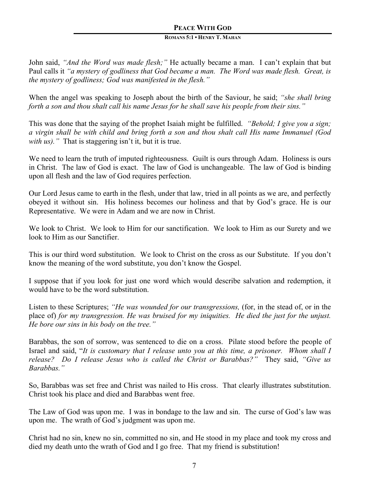### **ROMANS 5:1 • HENRY T. MAHAN**

John said, *"And the Word was made flesh;"* He actually became a man. I can't explain that but Paul calls it *"a mystery of godliness that God became a man. The Word was made flesh. Great, is the mystery of godliness; God was manifested in the flesh."*

When the angel was speaking to Joseph about the birth of the Saviour, he said; *"she shall bring forth a son and thou shalt call his name Jesus for he shall save his people from their sins."*

This was done that the saying of the prophet Isaiah might be fulfilled. *"Behold; I give you a sign; a virgin shall be with child and bring forth a son and thou shalt call His name Immanuel (God*  with us)." That is staggering isn't it, but it is true.

We need to learn the truth of imputed righteousness. Guilt is ours through Adam. Holiness is ours in Christ. The law of God is exact. The law of God is unchangeable. The law of God is binding upon all flesh and the law of God requires perfection.

Our Lord Jesus came to earth in the flesh, under that law, tried in all points as we are, and perfectly obeyed it without sin. His holiness becomes our holiness and that by God's grace. He is our Representative. We were in Adam and we are now in Christ.

We look to Christ. We look to Him for our sanctification. We look to Him as our Surety and we look to Him as our Sanctifier.

This is our third word substitution. We look to Christ on the cross as our Substitute. If you don't know the meaning of the word substitute, you don't know the Gospel.

I suppose that if you look for just one word which would describe salvation and redemption, it would have to be the word substitution.

Listen to these Scriptures; *"He was wounded for our transgressions,* (for, in the stead of, or in the place of) *for my transgression. He was bruised for my iniquities. He died the just for the unjust. He bore our sins in his body on the tree."*

Barabbas, the son of sorrow, was sentenced to die on a cross. Pilate stood before the people of Israel and said, "*It is customary that I release unto you at this time, a prisoner. Whom shall I release? Do I release Jesus who is called the Christ or Barabbas?"* They said, *"Give us Barabbas."* 

So, Barabbas was set free and Christ was nailed to His cross. That clearly illustrates substitution. Christ took his place and died and Barabbas went free.

The Law of God was upon me. I was in bondage to the law and sin. The curse of God's law was upon me. The wrath of God's judgment was upon me.

Christ had no sin, knew no sin, committed no sin, and He stood in my place and took my cross and died my death unto the wrath of God and I go free. That my friend is substitution!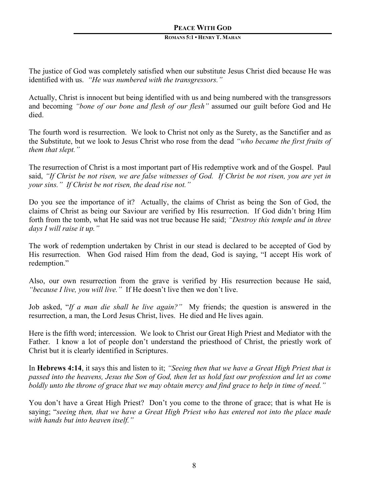#### **ROMANS 5:1 • HENRY T. MAHAN**

The justice of God was completely satisfied when our substitute Jesus Christ died because He was identified with us. *"He was numbered with the transgressors."*

Actually, Christ is innocent but being identified with us and being numbered with the transgressors and becoming *"bone of our bone and flesh of our flesh"* assumed our guilt before God and He died.

The fourth word is resurrection. We look to Christ not only as the Surety, as the Sanctifier and as the Substitute, but we look to Jesus Christ who rose from the dead *"who became the first fruits of them that slept."*

The resurrection of Christ is a most important part of His redemptive work and of the Gospel. Paul said, *"If Christ be not risen, we are false witnesses of God. If Christ be not risen, you are yet in your sins." If Christ be not risen, the dead rise not."*

Do you see the importance of it? Actually, the claims of Christ as being the Son of God, the claims of Christ as being our Saviour are verified by His resurrection. If God didn't bring Him forth from the tomb, what He said was not true because He said; *"Destroy this temple and in three days I will raise it up."*

The work of redemption undertaken by Christ in our stead is declared to be accepted of God by His resurrection. When God raised Him from the dead, God is saying, "I accept His work of redemption."

Also, our own resurrection from the grave is verified by His resurrection because He said, *"because I live, you will live."* If He doesn't live then we don't live.

Job asked, "*If a man die shall he live again?"* My friends; the question is answered in the resurrection, a man, the Lord Jesus Christ, lives. He died and He lives again.

Here is the fifth word; intercession. We look to Christ our Great High Priest and Mediator with the Father. I know a lot of people don't understand the priesthood of Christ, the priestly work of Christ but it is clearly identified in Scriptures.

In **Hebrews 4:14**, it says this and listen to it; *"Seeing then that we have a Great High Priest that is passed into the heavens, Jesus the Son of God, then let us hold fast our profession and let us come boldly unto the throne of grace that we may obtain mercy and find grace to help in time of need."*

You don't have a Great High Priest? Don't you come to the throne of grace; that is what He is saying; "*seeing then, that we have a Great High Priest who has entered not into the place made with hands but into heaven itself."*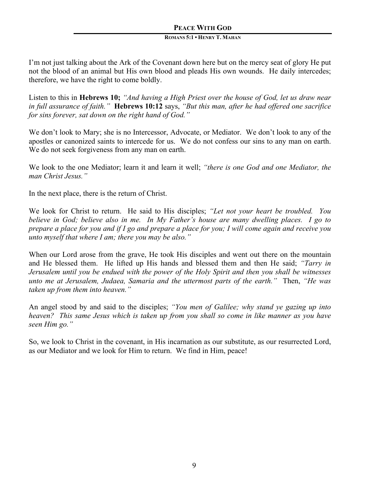#### **ROMANS 5:1 • HENRY T. MAHAN**

I'm not just talking about the Ark of the Covenant down here but on the mercy seat of glory He put not the blood of an animal but His own blood and pleads His own wounds. He daily intercedes; therefore, we have the right to come boldly.

Listen to this in **Hebrews 10;** *"And having a High Priest over the house of God, let us draw near in full assurance of faith."* **Hebrews 10:12** says, *"But this man, after he had offered one sacrifice for sins forever, sat down on the right hand of God."*

We don't look to Mary; she is no Intercessor, Advocate, or Mediator. We don't look to any of the apostles or canonized saints to intercede for us. We do not confess our sins to any man on earth. We do not seek forgiveness from any man on earth.

We look to the one Mediator; learn it and learn it well; *"there is one God and one Mediator, the man Christ Jesus."*

In the next place, there is the return of Christ.

We look for Christ to return. He said to His disciples; *"Let not your heart be troubled. You believe in God; believe also in me. In My Father's house are many dwelling places. I go to prepare a place for you and if I go and prepare a place for you; I will come again and receive you unto myself that where I am; there you may be also."*

When our Lord arose from the grave, He took His disciples and went out there on the mountain and He blessed them. He lifted up His hands and blessed them and then He said; *"Tarry in Jerusalem until you be endued with the power of the Holy Spirit and then you shall be witnesses unto me at Jerusalem, Judaea, Samaria and the uttermost parts of the earth."* Then, *"He was taken up from them into heaven."* 

An angel stood by and said to the disciples; *"You men of Galilee; why stand ye gazing up into heaven? This same Jesus which is taken up from you shall so come in like manner as you have seen Him go."*

So, we look to Christ in the covenant, in His incarnation as our substitute, as our resurrected Lord, as our Mediator and we look for Him to return. We find in Him, peace!